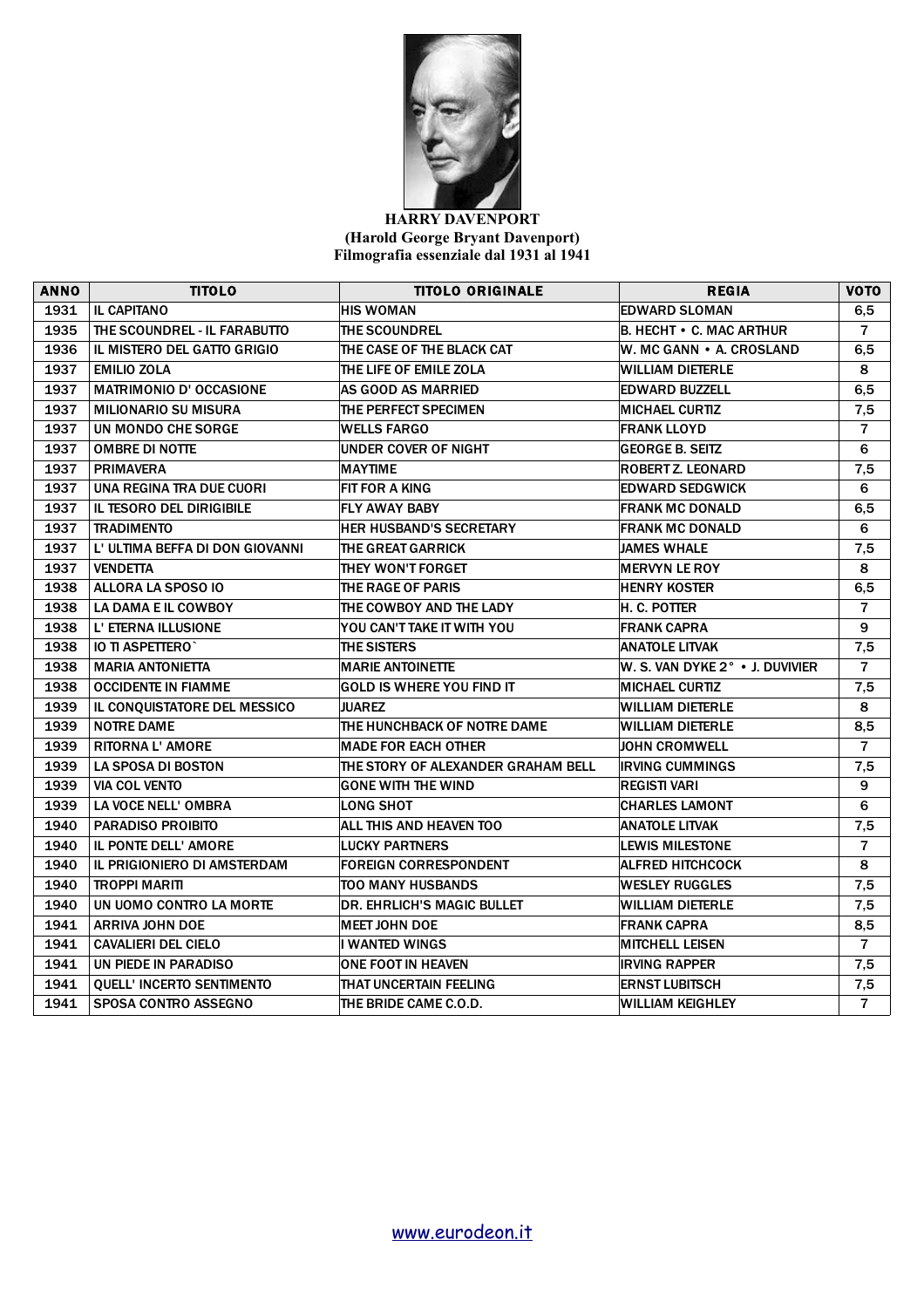

## **HARRY DAVENPORT (Harold George Bryant Davenport) Filmografia essenziale dal 1931 al 1941**

| ANNO | <b>TITOLO</b>                      | <b>TITOLO ORIGINALE</b>            | <b>REGIA</b>                    | <b>VOTO</b>    |
|------|------------------------------------|------------------------------------|---------------------------------|----------------|
| 1931 | <b>IL CAPITANO</b>                 | <b>HIS WOMAN</b>                   | <b>EDWARD SLOMAN</b>            | 6, 5           |
| 1935 | THE SCOUNDREL - IL FARABUTTO       | THE SCOUNDREL                      | <b>B. HECHT • C. MAC ARTHUR</b> | $\overline{7}$ |
| 1936 | IL MISTERO DEL GATTO GRIGIO        | THE CASE OF THE BLACK CAT          | W. MC GANN • A. CROSLAND        | 6,5            |
| 1937 | <b>EMILIO ZOLA</b>                 | THE LIFE OF EMILE ZOLA             | <b>WILLIAM DIETERLE</b>         | 8              |
| 1937 | <b>MATRIMONIO D' OCCASIONE</b>     | AS GOOD AS MARRIED                 | <b>EDWARD BUZZELL</b>           | 6,5            |
| 1937 | <b>MILIONARIO SU MISURA</b>        | THE PERFECT SPECIMEN               | <b>MICHAEL CURTIZ</b>           | 7,5            |
| 1937 | UN MONDO CHE SORGE                 | <b>WELLS FARGO</b>                 | <b>FRANK LLOYD</b>              | 7              |
| 1937 | <b>OMBRE DI NOTTE</b>              | UNDER COVER OF NIGHT               | <b>GEORGE B. SEITZ</b>          | 6              |
| 1937 | <b>PRIMAVERA</b>                   | <b>MAYTIME</b>                     | ROBERT Z. LEONARD               | 7,5            |
| 1937 | UNA REGINA TRA DUE CUORI           | <b>FIT FOR A KING</b>              | <b>EDWARD SEDGWICK</b>          | 6              |
| 1937 | <b>IL TESORO DEL DIRIGIBILE</b>    | <b>FLY AWAY BABY</b>               | <b>FRANK MC DONALD</b>          | 6, 5           |
| 1937 | <b>TRADIMENTO</b>                  | <b>HER HUSBAND'S SECRETARY</b>     | <b>FRANK MC DONALD</b>          | 6              |
| 1937 | L'ULTIMA BEFFA DI DON GIOVANNI     | THE GREAT GARRICK                  | <b>JAMES WHALE</b>              | 7,5            |
| 1937 | <b>VENDETTA</b>                    | THEY WON'T FORGET                  | <b>MERVYN LE ROY</b>            | 8              |
| 1938 | ALLORA LA SPOSO IO                 | THE RAGE OF PARIS                  | <b>HENRY KOSTER</b>             | 6, 5           |
| 1938 | LA DAMA E IL COWBOY                | THE COWBOY AND THE LADY            | h. C. Potter                    | $\overline{7}$ |
| 1938 | L' ETERNA ILLUSIONE                | YOU CAN'T TAKE IT WITH YOU         | <b>FRANK CAPRA</b>              | 9              |
| 1938 | <b>IO TI ASPETTERO</b>             | <b>THE SISTERS</b>                 | ANATOLE LITVAK                  | 7,5            |
| 1938 | <b>MARIA ANTONIETTA</b>            | <b>MARIE ANTOINETTE</b>            | W. S. VAN DYKE 2° . J. DUVIVIER | $\overline{7}$ |
| 1938 | <b>OCCIDENTE IN FIAMME</b>         | <b>GOLD IS WHERE YOU FIND IT</b>   | <b>MICHAEL CURTIZ</b>           | 7,5            |
| 1939 | IL CONQUISTATORE DEL MESSICO       | <b>JUAREZ</b>                      | <b>WILLIAM DIETERLE</b>         | 8              |
| 1939 | <b>NOTRE DAME</b>                  | THE HUNCHBACK OF NOTRE DAME        | <b>WILLIAM DIETERLE</b>         | 8,5            |
| 1939 | <b>RITORNA L' AMORE</b>            | <b>MADE FOR EACH OTHER</b>         | <b>JOHN CROMWELL</b>            | $\overline{7}$ |
| 1939 | LA SPOSA DI BOSTON                 | THE STORY OF ALEXANDER GRAHAM BELL | <b>IRVING CUMMINGS</b>          | 7,5            |
| 1939 | <b>VIA COL VENTO</b>               | <b>GONE WITH THE WIND</b>          | <b>REGISTI VARI</b>             | 9              |
| 1939 | LA VOCE NELL' OMBRA                | <b>LONG SHOT</b>                   | <b>CHARLES LAMONT</b>           | 6              |
| 1940 | <b>PARADISO PROIBITO</b>           | ALL THIS AND HEAVEN TOO            | ANATOLE LITVAK                  | 7,5            |
| 1940 | IL PONTE DELL' AMORE               | <b>LUCKY PARTNERS</b>              | <b>LEWIS MILESTONE</b>          | $\overline{7}$ |
| 1940 | <b>IL PRIGIONIERO DI AMSTERDAM</b> | <b>FOREIGN CORRESPONDENT</b>       | <b>ALFRED HITCHCOCK</b>         | 8              |
| 1940 | <b>TROPPI MARITI</b>               | <b>TOO MANY HUSBANDS</b>           | <b>WESLEY RUGGLES</b>           | 7,5            |
| 1940 | UN UOMO CONTRO LA MORTE            | <b>DR. EHRLICH'S MAGIC BULLET</b>  | <b>WILLIAM DIETERLE</b>         | 7,5            |
| 1941 | <b>ARRIVA JOHN DOE</b>             | <b>MEET JOHN DOE</b>               | <b>FRANK CAPRA</b>              | 8,5            |
| 1941 | <b>CAVALIERI DEL CIELO</b>         | I WANTED WINGS                     | <b>MITCHELL LEISEN</b>          | $\overline{7}$ |
| 1941 | UN PIEDE IN PARADISO               | <b>ONE FOOT IN HEAVEN</b>          | <b>IRVING RAPPER</b>            | 7,5            |
| 1941 | <b>QUELL' INCERTO SENTIMENTO</b>   | THAT UNCERTAIN FEELING             | <b>ERNST LUBITSCH</b>           | 7,5            |
| 1941 | <b>SPOSA CONTRO ASSEGNO</b>        | THE BRIDE CAME C.O.D.              | <b>WILLIAM KEIGHLEY</b>         | $\overline{7}$ |